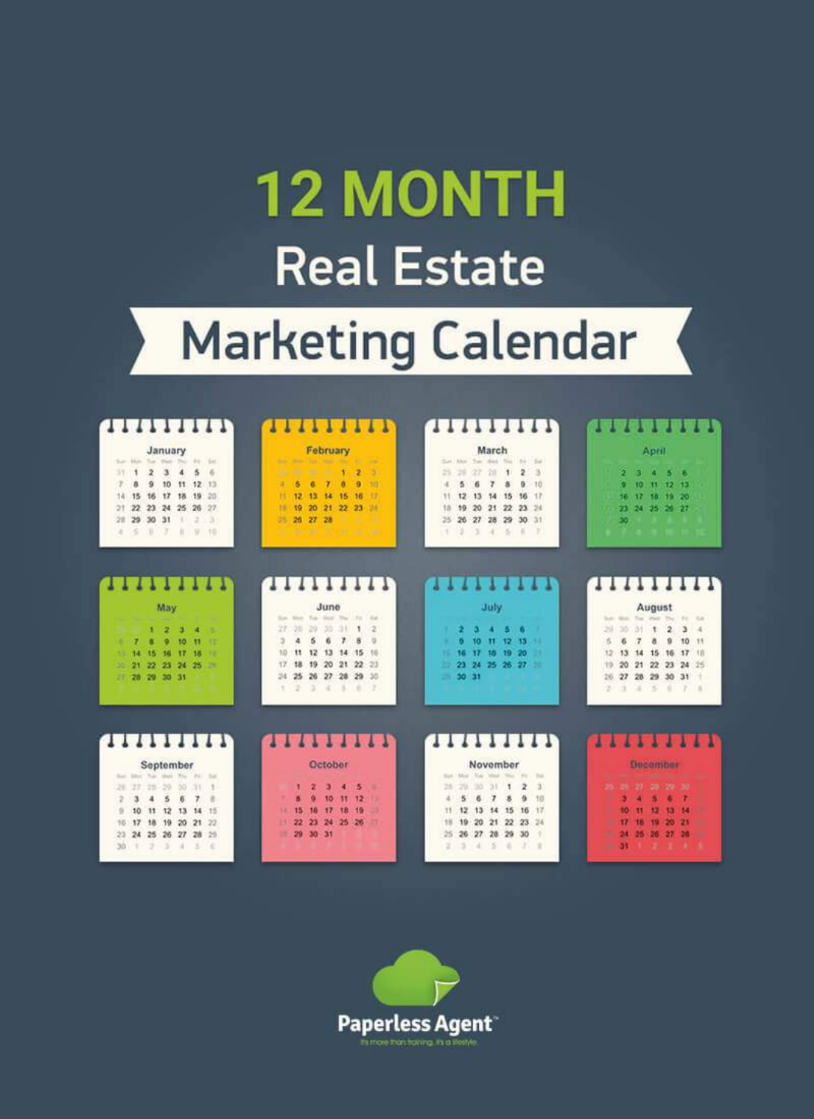# **12 MONTH Real Estate**

## **Marketing Calendar**

| THEFTER                 |         |           |     |     |                       |                            |  |  |                |         | 111      |                             |                 |             | 1111                |  |  |             |                           |    | 11111111T                |       |                |       |  | : 2069999\     |                 |           |        |                 |           |       |
|-------------------------|---------|-----------|-----|-----|-----------------------|----------------------------|--|--|----------------|---------|----------|-----------------------------|-----------------|-------------|---------------------|--|--|-------------|---------------------------|----|--------------------------|-------|----------------|-------|--|----------------|-----------------|-----------|--------|-----------------|-----------|-------|
| January                 |         |           |     |     |                       | February                   |  |  |                |         |          |                             |                 |             | March               |  |  |             |                           |    |                          | April |                |       |  |                |                 |           |        |                 |           |       |
| San Mar.                |         |           |     |     | $\pm\infty$ .         |                            |  |  | <b>Service</b> |         |          |                             |                 |             | ۰                   |  |  |             |                           |    | Sat has fun that for the |       |                | 164   |  |                |                 |           |        |                 |           |       |
|                         |         |           |     |     |                       | £.                         |  |  |                |         | w        |                             |                 |             |                     |  |  |             |                           |    |                          |       | $\overline{2}$ |       |  |                | я               | R         |        |                 | -6        |       |
| ÷                       |         | $\alpha$  | to  | 11  |                       | 12.13                      |  |  | и              | 5       | σ        |                             | ٨               | a           | 10                  |  |  |             |                           |    |                          | л     | $\alpha$       | $-10$ |  |                |                 | Œ         | m      |                 | $P$ $P$   |       |
| 14                      |         | 16        | 17  | 18  | 19                    | 20                         |  |  | н              | 12      | 13       | 14                          | 15              | 16          | 12                  |  |  |             | 12                        | 13 | 14                       | 15    | 16             | $-11$ |  |                | 16.             |           | m      | $-19 - 20$      |           |       |
| 21                      | $^{22}$ | $23 - 24$ |     |     | 25 26 27              |                            |  |  | и              | 19      | 20       | 21 22 23                    |                 |             | 28                  |  |  |             | 19                        | 20 | 21 22 23 24              |       |                |       |  |                | 73              |           |        | 24 25 26 27     |           |       |
| 28                      | 29      | 30        | 31  |     |                       | - 37                       |  |  | 25             | 26      | 27       | 28                          |                 |             |                     |  |  |             | 26                        | 27 | 28 29 30 31              |       |                |       |  |                | 50              |           |        |                 |           |       |
| a.                      | 8       | п         |     | в   |                       | $-10$                      |  |  |                |         |          |                             | w               |             |                     |  |  |             |                           |    |                          |       | ٠              |       |  |                |                 |           |        |                 |           |       |
|                         |         |           |     |     |                       |                            |  |  |                |         |          |                             |                 |             |                     |  |  |             |                           |    |                          |       |                |       |  |                |                 |           |        |                 |           |       |
| 1917/013 1917/51<br>May |         |           |     |     | <b>THEFTH</b><br>June |                            |  |  |                |         |          | t i 77 i 17 bit e r<br>July |                 |             |                     |  |  |             | <b>TITITITI</b><br>August |    |                          |       |                |       |  |                |                 |           |        |                 |           |       |
|                         |         |           |     |     |                       |                            |  |  |                |         |          | Sun Hour                    | The Corporation |             |                     |  |  |             |                           |    |                          |       |                |       |  |                | <b>STATE</b>    |           |        | The West The    |           |       |
|                         |         |           | ø.  |     | a                     | m                          |  |  | 27             |         | 29       | 30                          | 31              | 1           | 2                   |  |  |             |                           |    |                          |       |                |       |  |                | 5Ó.             | 31        | п      | 2               | 3         |       |
| ×.                      |         | п         | ۰   | 10  | 11                    | œ                          |  |  | ä              | 4       | 5        | 6                           | T               | ÷           |                     |  |  |             |                           | 10 | $\mathbf{H}$             | 12    | - 15           |       |  | ñ              |                 |           | ٨      | ŭ               | 10        | $+11$ |
| 13.                     | 14      | 15        | 16  | 17  | 18                    | 12                         |  |  | 10             | 11      | 12       | 13                          | 14              | $15 -$      | 186                 |  |  | 11          | 16                        | 17 | 18 19 20                 |       |                |       |  | 12             | 13              | 14        | 15     | 16              | $17 - 18$ |       |
| 20.                     | 24      | 22        | 23  | -20 | 25                    | ×                          |  |  | 12             |         | 19       | 20                          |                 | 21 22 23    |                     |  |  |             |                           |    | 23 24 25 26 27           |       |                |       |  | T <sub>D</sub> | 20 <sub>1</sub> |           |        | 21 22 23 24 25  |           |       |
| 27 28 29 30 31          |         |           |     |     |                       |                            |  |  | 24             | 25      | 26       |                             |                 | 27 28 29 35 |                     |  |  | <b>STAR</b> | $30 - 31$                 |    |                          |       |                |       |  | 26.            | 27              |           |        | 28 29 30 31     |           |       |
|                         |         |           |     |     |                       |                            |  |  |                |         |          | ×                           | ٠               | ٠           | -2                  |  |  |             |                           |    |                          |       |                |       |  | э.             |                 | ж         | $\leq$ | ٠               | -         | 18    |
|                         |         |           |     |     |                       |                            |  |  |                |         |          |                             |                 |             |                     |  |  |             |                           |    |                          |       |                |       |  |                |                 |           |        |                 |           |       |
| <b>THEFFERS</b>         |         |           |     |     |                       |                            |  |  |                |         |          |                             |                 |             | 1 - 5 - 5 - 6 - 6 - |  |  |             |                           |    | <b>THEFFILM</b>          |       |                |       |  | 111111111      |                 |           |        |                 |           |       |
| But Min Tax Heat        |         | September |     |     |                       | $A \in \mathcal{C}$ . Easy |  |  |                |         |          | October                     |                 |             |                     |  |  |             | <b>Book 7 Billion</b>     |    | November                 |       | <b>BE</b>      | Total |  |                |                 |           |        | <b>December</b> |           |       |
| 28                      |         | 28        | 20. | 36  | 31                    | $\mathbb{I}$               |  |  |                |         |          |                             |                 | 5           |                     |  |  |             |                           | 20 | 31                       | 1     | z              | ä     |  | 26             |                 | $29 - 27$ |        | 20 20 30        |           |       |
| 2                       |         |           | 5   |     |                       | 近                          |  |  |                |         |          | 10                          | - 151           | 12          |                     |  |  |             |                           |    |                          |       | ٠              | 10    |  |                |                 |           |        |                 |           |       |
| 15                      |         | 11        | 12  | 13  | 14                    | 15                         |  |  |                |         |          | $\overline{1}$              | 书房              | m           |                     |  |  |             |                           |    | $13 - 14$                | 15    | 16             | $+7$  |  |                | 10              | п         | 12     | u               |           |       |
| 16                      | 17      | 18        | 19  | 20  |                       | 21, 22                     |  |  | 24             | $22 \,$ | 23       | 24 25 26                    |                 |             |                     |  |  |             | 19                        | 20 | 21                       |       | 22 23 24       |       |  |                | 17              |           |        |                 |           |       |
| 21 24 25 26 27 28 29    |         |           |     |     |                       |                            |  |  | m              |         | 29 30 31 |                             |                 |             |                     |  |  |             |                           |    | 25 26 27 28 29 30        |       |                |       |  |                |                 |           |        | 24 25 26 27     |           |       |
|                         |         |           |     |     |                       |                            |  |  |                |         |          |                             |                 |             |                     |  |  |             |                           |    |                          |       |                |       |  |                |                 |           |        |                 |           |       |

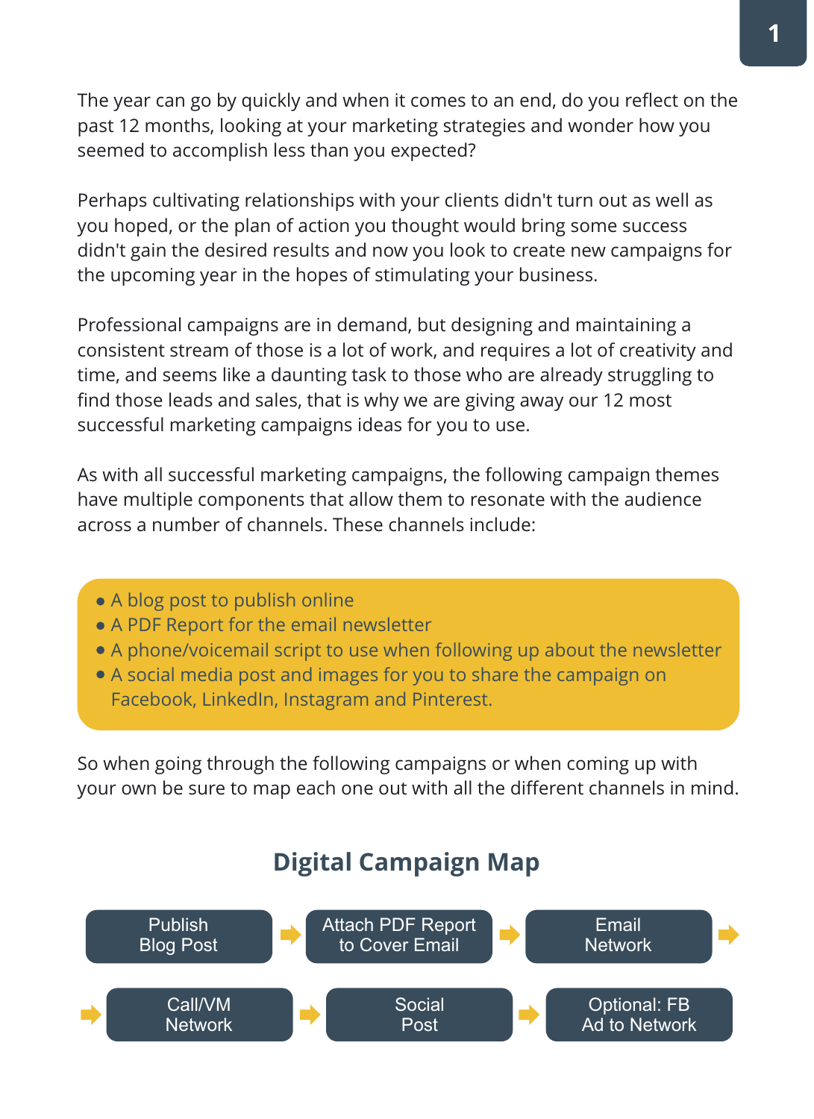The year can go by quickly and when it comes to an end, do you reflect on the past 12 months, looking at your marketing strategies and wonder how you seemed to accomplish less than you expected?

Perhaps cultivating relationships with your clients didn't turn out as well as you hoped, or the plan of action you thought would bring some success didn't gain the desired results and now you look to create new campaigns for the upcoming year in the hopes of stimulating your business.

Professional campaigns are in demand, but designing and maintaining a consistent stream of those is a lot of work, and requires a lot of creativity and time, and seems like a daunting task to those who are already struggling to find those leads and sales, that is why we are giving away our 12 most successful marketing campaigns ideas for you to use.

As with all successful marketing campaigns, the following campaign themes have multiple components that allow them to resonate with the audience across a number of channels. These channels include:

- A blog post to publish online
- A PDF Report for the email newsletter
- A phone/voicemail script to use when following up about the newsletter
- A social media post and images for you to share the campaign on Facebook, LinkedIn, Instagram and Pinterest.

So when going through the following campaigns or when coming up with your own be sure to map each one out with all the different channels in mind.

### **Digital Campaign Map**

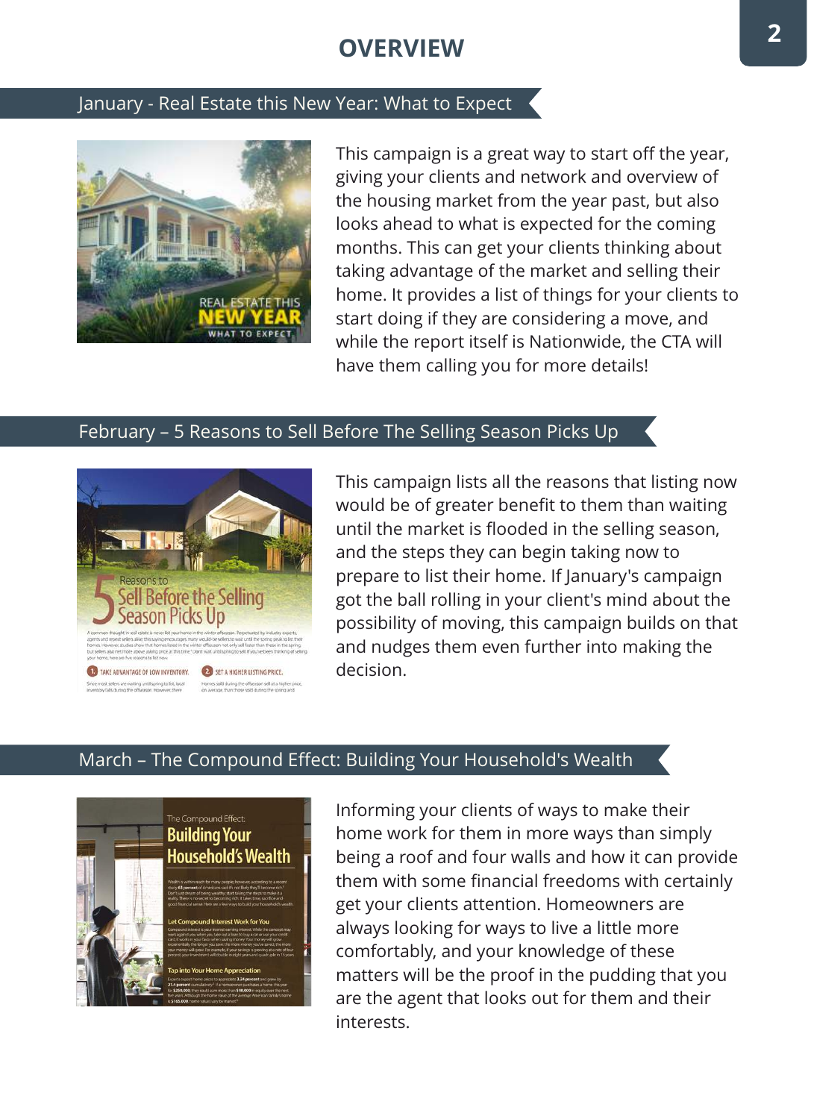### **OVERVIEW**

#### January - Real Estate this New Year: What to Expect



This campaign is a great way to start off the year, giving your clients and network and overview of the housing market from the year past, but also looks ahead to what is expected for the coming months. This can get your clients thinking about taking advantage of the market and selling their home. It provides a list of things for your clients to start doing if they are considering a move, and while the report itself is Nationwide, the CTA will have them calling you for more details!

#### February – 5 Reasons to Sell Before The Selling Season Picks Up



This campaign lists all the reasons that listing now would be of greater benefit to them than waiting until the market is flooded in the selling season, and the steps they can begin taking now to prepare to list their home. If January's campaign got the ball rolling in your client's mind about the possibility of moving, this campaign builds on that and nudges them even further into making the decision.

#### March – The Compound Effect: Building Your Household's Wealth



Informing your clients of ways to make their home work for them in more ways than simply being a roof and four walls and how it can provide them with some financial freedoms with certainly get your clients attention. Homeowners are always looking for ways to live a little more comfortably, and your knowledge of these matters will be the proof in the pudding that you are the agent that looks out for them and their interests.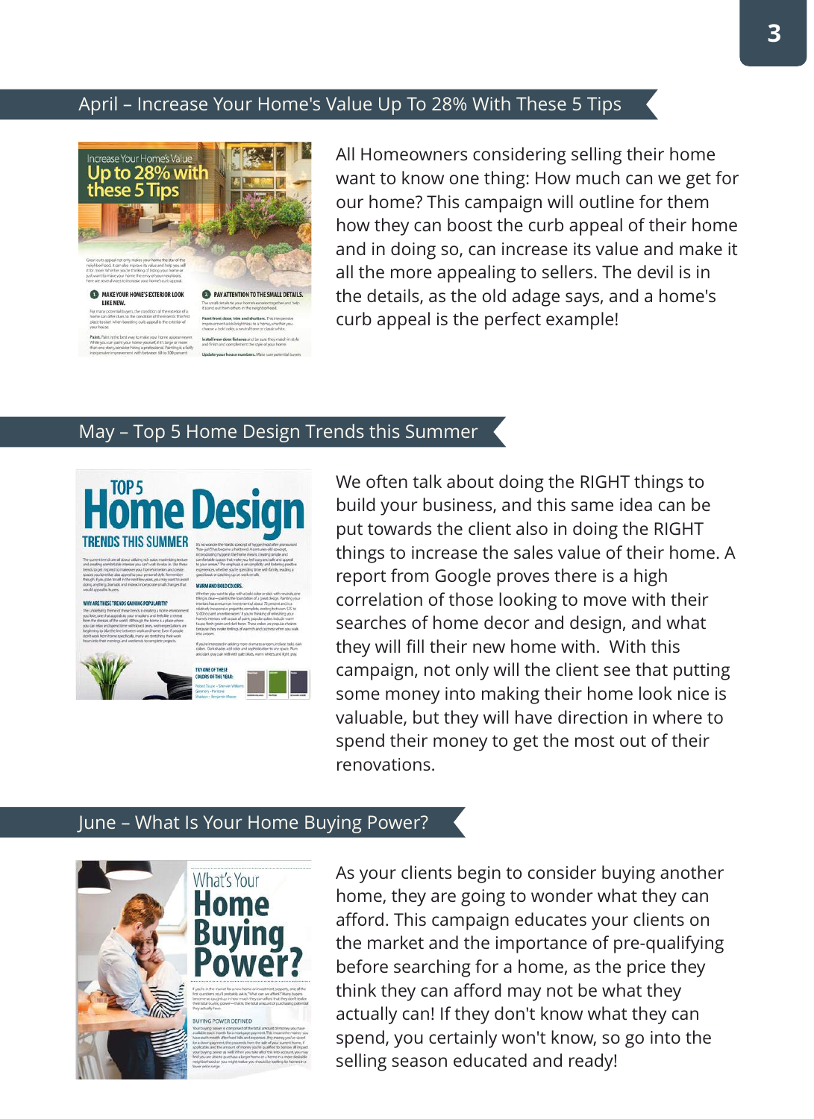#### April – Increase Your Home's Value Up To 28% With These 5 Tips



All Homeowners considering selling their home want to know one thing: How much can we get for our home? This campaign will outline for them how they can boost the curb appeal of their home and in doing so, can increase its value and make it all the more appealing to sellers. The devil is in the details, as the old adage says, and a home's curb appeal is the perfect example!

#### May – Top 5 Home Design Trends this Summer



We often talk about doing the RIGHT things to build your business, and this same idea can be put towards the client also in doing the RIGHT things to increase the sales value of their home. A report from Google proves there is a high correlation of those looking to move with their searches of home decor and design, and what they will fill their new home with. With this campaign, not only will the client see that putting some money into making their home look nice is valuable, but they will have direction in where to spend their money to get the most out of their renovations.

#### June – What Is Your Home Buying Power?



As your clients begin to consider buying another home, they are going to wonder what they can afford. This campaign educates your clients on the market and the importance of pre-qualifying before searching for a home, as the price they think they can afford may not be what they actually can! If they don't know what they can spend, you certainly won't know, so go into the selling season educated and ready!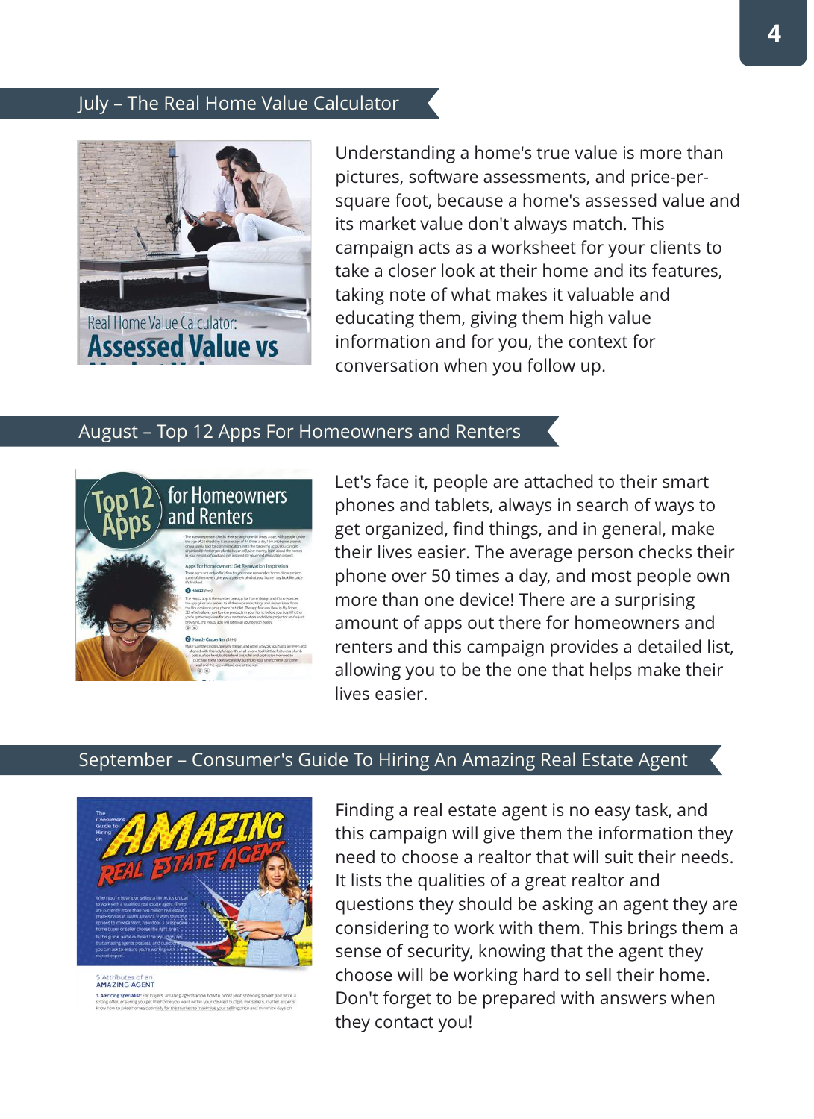#### July – The Real Home Value Calculator



Understanding a home's true value is more than pictures, software assessments, and price-persquare foot, because a home's assessed value and its market value don't always match. This campaign acts as a worksheet for your clients to take a closer look at their home and its features, taking note of what makes it valuable and educating them, giving them high value information and for you, the context for conversation when you follow up.

#### August – Top 12 Apps For Homeowners and Renters



Let's face it, people are attached to their smart phones and tablets, always in search of ways to get organized, find things, and in general, make their lives easier. The average person checks their phone over 50 times a day, and most people own more than one device! There are a surprising amount of apps out there for homeowners and renters and this campaign provides a detailed list, allowing you to be the one that helps make their lives easier.

#### September – Consumer's Guide To Hiring An Amazing Real Estate Agent



**AMAZING AGENT** 1. A Pricing Specialist: For buyers, amazing agents know how to boost your spending po strong offer, ensuring you get the home you want within your desired budget. For sellers, market exper<br>know how to price homes optimally for the market to maximize your selling price and minimize days or

Finding a real estate agent is no easy task, and this campaign will give them the information they need to choose a realtor that will suit their needs. It lists the qualities of a great realtor and questions they should be asking an agent they are considering to work with them. This brings them a sense of security, knowing that the agent they choose will be working hard to sell their home. Don't forget to be prepared with answers when they contact you!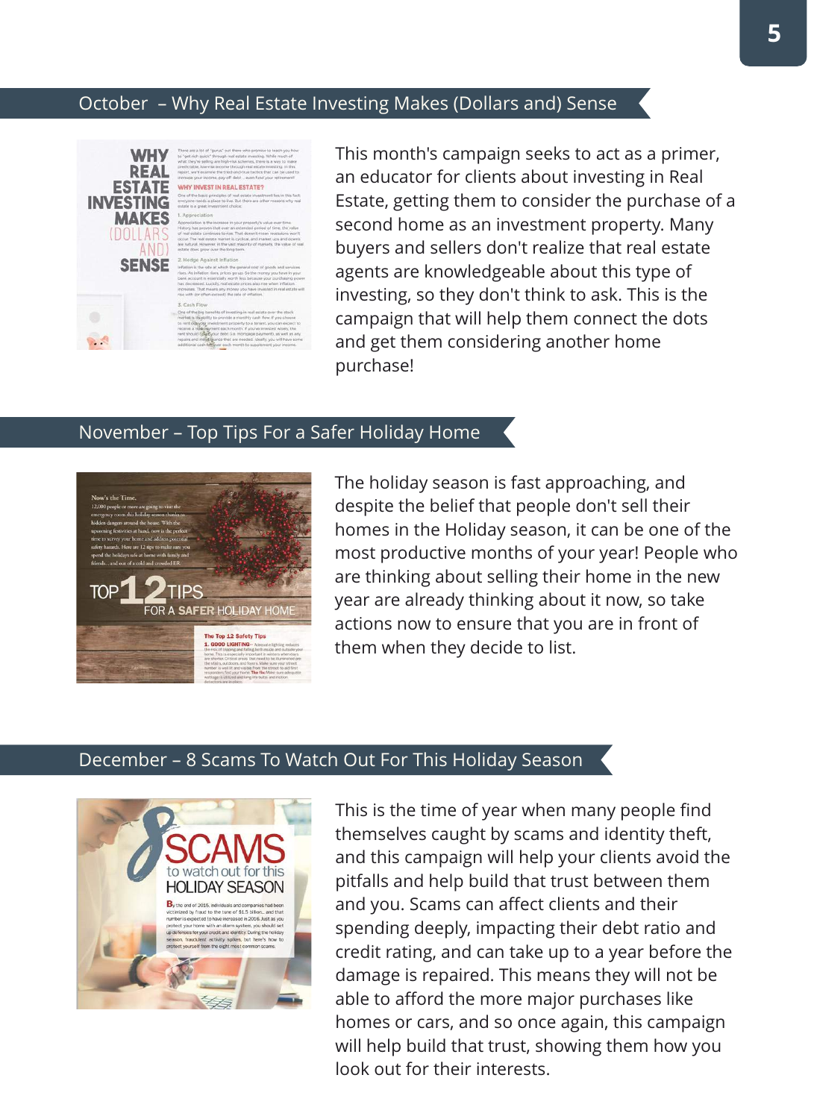#### October – Why Real Estate Investing Makes (Dollars and) Sense



This month's campaign seeks to act as a primer, an educator for clients about investing in Real Estate, getting them to consider the purchase of a second home as an investment property. Many buyers and sellers don't realize that real estate agents are knowledgeable about this type of investing, so they don't think to ask. This is the campaign that will help them connect the dots and get them considering another home purchase!

#### November – Top Tips For a Safer Holiday Home



The holiday season is fast approaching, and despite the belief that people don't sell their homes in the Holiday season, it can be one of the most productive months of your year! People who are thinking about selling their home in the new year are already thinking about it now, so take actions now to ensure that you are in front of them when they decide to list.

#### December – 8 Scams To Watch Out For This Holiday Season



This is the time of year when many people find themselves caught by scams and identity theft, and this campaign will help your clients avoid the pitfalls and help build that trust between them and you. Scams can affect clients and their spending deeply, impacting their debt ratio and credit rating, and can take up to a year before the damage is repaired. This means they will not be able to afford the more major purchases like homes or cars, and so once again, this campaign will help build that trust, showing them how you look out for their interests.